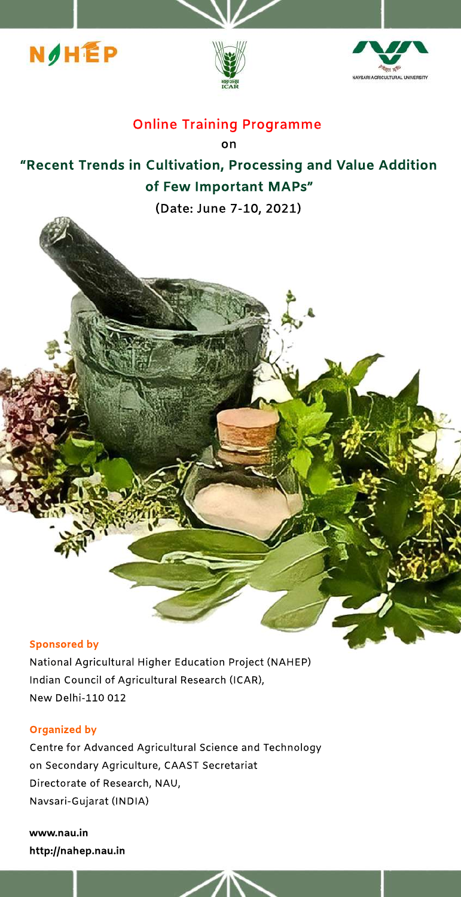





# **Online Training Programme**

**on**

# **"RecentTrendsinCultivation,ProcessingandValueAddition** of Few Important MAPs"

**(Date:June7-10,2021)**

#### **Sponsored by**

National Agricultural Higher Education Project (NAHEP) Indian Council of Agricultural Research (ICAR), New Delhi-110 012

## **Organized by**

Centre for Advanced Agricultural Science and Technology on Secondary Agriculture, CAAST Secretariat Directorate of Research, NAU, Navsari-Gujarat(INDIA)

**www.nau.in http://nahep.nau.in**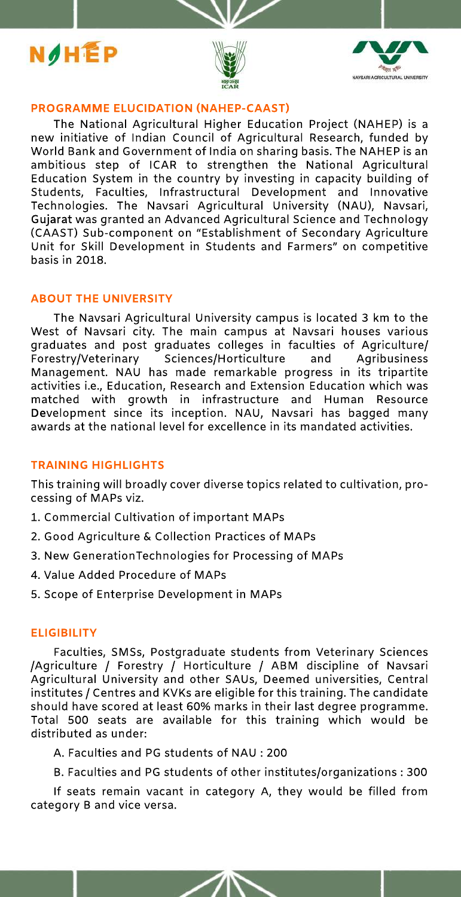





#### **PROGRAMME ELUCIDATION (NAHEP-CAAST)**

The National Agricultural Higher Education Project (NAHEP) is a new initiative of Indian Council of Agricultural Research, funded by World Bank and Government of India on sharing basis. The NAHEP is an ambitious step of ICAR to strengthen the National Agricultural Education System in the country by investing in capacity building of Students, Faculties, Infrastructural Development and Innovative Technologies. The Navsari Agricultural University (NAU), Navsari, Gujarat was granted an Advanced Agricultural Science and Technology (CAAST) Sub-component on "Establishment of Secondary Agriculture Unit for Skill Development in Students and Farmers" on competitive basis in 2018.

#### **ABOUT THE UNIVERSITY**

The Navsari Agricultural University campus is located 3 km to the West of Navsari city. The main campus at Navsari houses various graduates and post graduates colleges in faculties of Agriculture/ Sciences/Horticulture Forestry/Veterinary and Agribusiness Management. NAU has made remarkable progress in its tripartite activities i.e., Education, Research and Extension Education which was matched with growth in infrastructure and Human Resource Development since its inception. NAU, Navsari has bagged many awards at the national level for excellence in its mandated activities.

## **TRAINING HIGHLIGHTS**

This training will broadly cover diverse topics related to cultivation, processing of MAPs viz.

- 1. Commercial Cultivation of important MAPs
- 2. Good Agriculture & Collection Practices of MAPs
- 3. New GenerationTechnologies for Processing of MAPs
- 4. Value Added Procedure of MAPs
- 5. Scope of Enterprise Development in MAPs

#### **ELIGIBILITY**

Faculties, SMSs, Postgraduate students from Veterinary Sciences /Agriculture / Forestry / Horticulture / ABM discipline of Navsari Agricultural University and other SAUs, Deemed universities, Central institutes / Centres and KVKs are eligible for this training. The candidate should have scored at least 60% marks in their last degree programme. Total 500 seats are available for this training which would be distributed as under:

A. Faculties and PG students of NAU : 200

B. Faculties and PG students of other institutes/organizations: 300

If seats remain vacant in category A, they would be filled from category B and vice versa.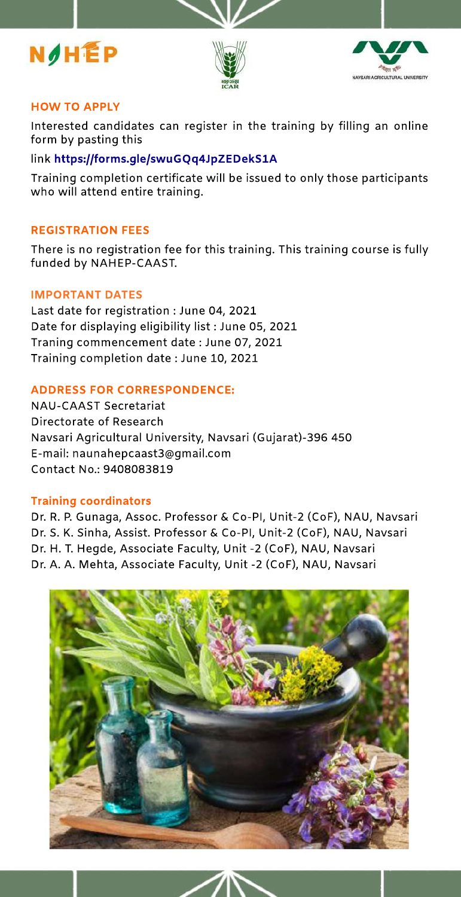





# **HOW TOAPPLY**

Interested candidates can register in the training by filling an online form by pasting this

# link**https://forms.gle/swuGQq4JpZEDekS1A**

Training completion certificate will be issued to only those participants who will attend entire training.

# **REGISTRATION FEES**

There is no registration fee for this training. This training course is fully funded by NAHEP-CAAST.

## **IMPORTANT DATES**

Last date for registration : June 04, 2021 Date for displaying eligibility list: June 05, 2021 Traning commencement date: June 07, 2021 Training completion date: June 10, 2021

# **ADDRESSFORCORRESPONDENCE:**

NAU-CAAST Secretariat Directorate of Research Navsari Agricultural University, Navsari (Gujarat)-396 450 E-mail:naunahepcaast3@gmail.com Contact No.: 9408083819

## **Training coordinators**

Dr. R. P. Gunaga, Assoc. Professor & Co-PI, Unit-2 (CoF), NAU, Navsari Dr. S. K. Sinha, Assist. Professor & Co-PI, Unit-2 (CoF), NAU, Navsari Dr. H. T. Hegde, Associate Faculty, Unit -2 (CoF), NAU, Navsari Dr. A. A. Mehta, Associate Faculty, Unit -2 (CoF), NAU, Navsari

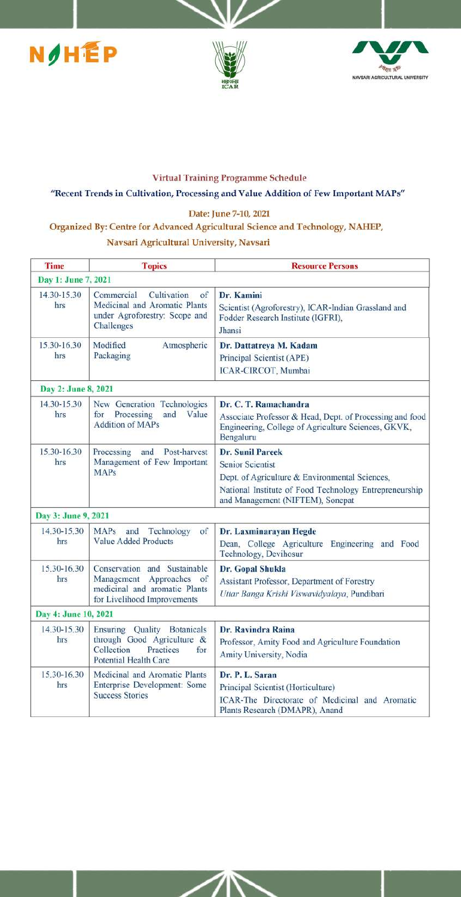





#### **Virtual Training Programme Schedule**

#### "Recent Trends in Cultivation, Processing and Value Addition of Few Important MAPs"

#### Date: June 7-10, 2021

# Organized By: Centre for Advanced Agricultural Science and Technology, NAHEP,

## Navsari Agricultural University, Navsari

| <b>Time</b>          | <b>Topics</b>                                                                                                                  | <b>Resource Persons</b>                                                                                                                                                                            |
|----------------------|--------------------------------------------------------------------------------------------------------------------------------|----------------------------------------------------------------------------------------------------------------------------------------------------------------------------------------------------|
| Day 1: June 7, 2021  |                                                                                                                                |                                                                                                                                                                                                    |
| 14.30-15.30<br>hrs   | Commercial<br>Cultivation<br>$\sigma$ f<br>Medicinal and Aromatic Plants<br>under Agroforestry: Scope and<br>Challenges        | Dr. Kamini<br>Scientist (Agroforestry), ICAR-Indian Grassland and<br>Fodder Research Institute (IGFRI),<br><b>Jhansi</b>                                                                           |
| 15.30-16.30<br>hrs   | Modified<br>Atmospheric<br>Packaging                                                                                           | Dr. Dattatreya M. Kadam<br>Principal Scientist (APE)<br>ICAR-CIRCOT, Mumbai                                                                                                                        |
| Day 2: June 8, 2021  |                                                                                                                                |                                                                                                                                                                                                    |
| 14.30-15.30<br>hrs   | New Generation Technologies<br>Processing<br>and Value<br>for<br><b>Addition of MAPs</b>                                       | Dr. C. T. Ramachandra<br>Associate Professor & Head, Dept. of Processing and food<br>Engineering, College of Agriculture Sciences, GKVK,<br>Bengaluru                                              |
| 15.30-16.30<br>hrs   | Processing<br>and<br>Post-harvest<br>Management of Few Important<br><b>MAPs</b>                                                | <b>Dr. Sunil Pareek</b><br><b>Senior Scientist</b><br>Dept. of Agriculture & Environmental Sciences,<br>National Institute of Food Technology Entrepreneurship<br>and Management (NIFTEM), Sonepat |
| Day 3: June 9, 2021  |                                                                                                                                |                                                                                                                                                                                                    |
| 14.30-15.30<br>hrs   | <b>MAPs</b><br>of<br>and<br>Technology<br>Value Added Products                                                                 | Dr. Laxminarayan Hegde<br>Dean, College Agriculture Engineering and Food<br>Technology, Devihosur                                                                                                  |
| 15.30-16.30<br>hrs   | Conservation and Sustainable<br>Management<br>Approaches<br>of<br>medicinal and aromatic Plants<br>for Livelihood Improvements | Dr. Gopal Shukla<br>Assistant Professor, Department of Forestry<br>Uttar Banga Krishi Viswavidyalaya, Pundibari                                                                                    |
| Day 4: June 10, 2021 |                                                                                                                                |                                                                                                                                                                                                    |
| 14.30-15.30<br>hrs   | Ensuring Quality Botanicals<br>through Good Agriculture &<br>Collection<br>Practices<br>for<br><b>Potential Health Care</b>    | Dr. Ravindra Raina<br>Professor, Amity Food and Agriculture Foundation<br>Amity University, Nodia                                                                                                  |
| 15.30-16.30<br>hrs   | Medicinal and Aromatic Plants<br>Enterprise Development: Some<br><b>Success Stories</b>                                        | Dr. P. L. Saran<br>Principal Scientist (Horticulture)<br>ICAR-The Directorate of Medicinal and Aromatic<br>Plants Research (DMAPR), Anand                                                          |